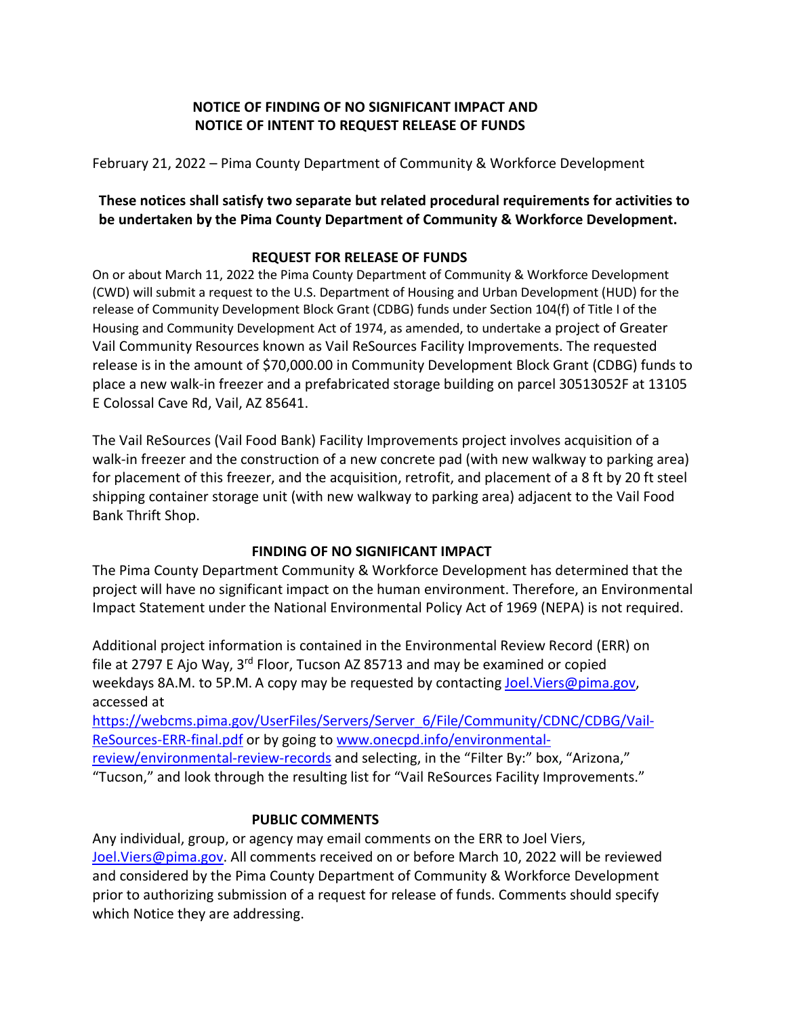# **NOTICE OF FINDING OF NO SIGNIFICANT IMPACT AND NOTICE OF INTENT TO REQUEST RELEASE OF FUNDS**

February 21, 2022 – Pima County Department of Community & Workforce Development

## **These notices shall satisfy two separate but related procedural requirements for activities to be undertaken by the Pima County Department of Community & Workforce Development.**

## **REQUEST FOR RELEASE OF FUNDS**

On or about March 11, 2022 the Pima County Department of Community & Workforce Development (CWD) will submit a request to the U.S. Department of Housing and Urban Development (HUD) for the release of Community Development Block Grant (CDBG) funds under Section 104(f) of Title I of the Housing and Community Development Act of 1974, as amended, to undertake a project of Greater Vail Community Resources known as Vail ReSources Facility Improvements. The requested release is in the amount of \$70,000.00 in Community Development Block Grant (CDBG) funds to place a new walk-in freezer and a prefabricated storage building on parcel 30513052F at 13105 E Colossal Cave Rd, Vail, AZ 85641.

The Vail ReSources (Vail Food Bank) Facility Improvements project involves acquisition of a walk-in freezer and the construction of a new concrete pad (with new walkway to parking area) for placement of this freezer, and the acquisition, retrofit, and placement of a 8 ft by 20 ft steel shipping container storage unit (with new walkway to parking area) adjacent to the Vail Food Bank Thrift Shop.

## **FINDING OF NO SIGNIFICANT IMPACT**

The Pima County Department Community & Workforce Development has determined that the project will have no significant impact on the human environment. Therefore, an Environmental Impact Statement under the National Environmental Policy Act of 1969 (NEPA) is not required.

Additional project information is contained in the Environmental Review Record (ERR) on file at 2797 E Ajo Way, 3<sup>rd</sup> Floor, Tucson AZ 85713 and may be examined or copied weekdays 8A.M. to 5P.M. A copy may be requested by contacting [Joel.Viers@pima.gov,](mailto:Joel.Viers@pima.gov) accessed at

[https://webcms.pima.gov/UserFiles/Servers/Server\\_6/File/Community/CDNC/CDBG/Vail-](https://webcms.pima.gov/UserFiles/Servers/Server_6/File/Community/CDNC/CDBG/Vail-ReSources-ERR-final.pdf)[ReSources-ERR-final.pdf](https://webcms.pima.gov/UserFiles/Servers/Server_6/File/Community/CDNC/CDBG/Vail-ReSources-ERR-final.pdf) or by going to [www.onecpd.info/environmental-](http://www.onecpd.info/environmental-review/environmental-review-records)

[review/environmental-review-records](http://www.onecpd.info/environmental-review/environmental-review-records) and selecting, in the "Filter By:" box, "Arizona," "Tucson," and look through the resulting list for "Vail ReSources Facility Improvements."

#### **PUBLIC COMMENTS**

Any individual, group, or agency may email comments on the ERR to Joel Viers, [Joel.Viers@pima.gov.](mailto:Joel.Viers@pima.gov) All comments received on or before March 10, 2022 will be reviewed and considered by the Pima County Department of Community & Workforce Development prior to authorizing submission of a request for release of funds. Comments should specify which Notice they are addressing.